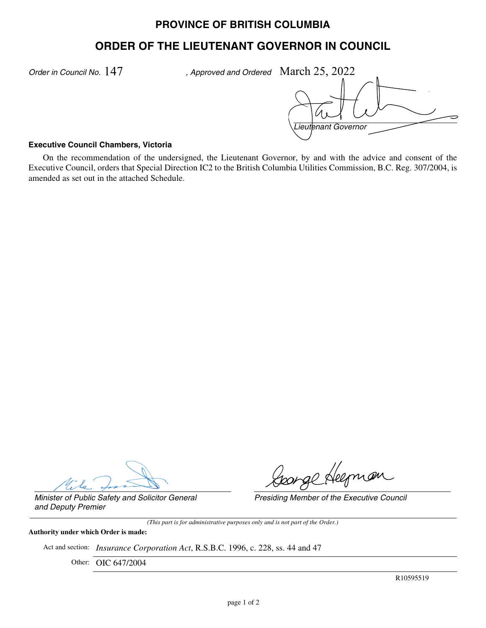## **PROVINCE OF BRITISH COLUMBIA**

# **ORDER OF THE LIEUTENANT GOVERNOR IN COUNCIL**

*Order in Council No.* 147

, Approved and Ordered March 25, 2022

*Lieutenant Governor*

#### **Executive Council Chambers, Victoria**

On the recommendation of the undersigned, the Lieutenant Governor, by and with the advice and consent of the Executive Council, orders that Special Direction IC2 to the British Columbia Utilities Commission, B.C. Reg. 307/2004, is amended as set out in the attached Schedule.

ponge Heepnan

*Presiding Member of the Executive Council*

*Minister of Public Safety and Solicitor General and Deputy Premier*

*(This part is for administrative purposes only and is not part of the Order.)*

**Authority under which Order is made:**

Act and section: *Insurance Corporation Act*, R.S.B.C. 1996, c. 228, ss. 44 and 47

Other: OIC 647/2004